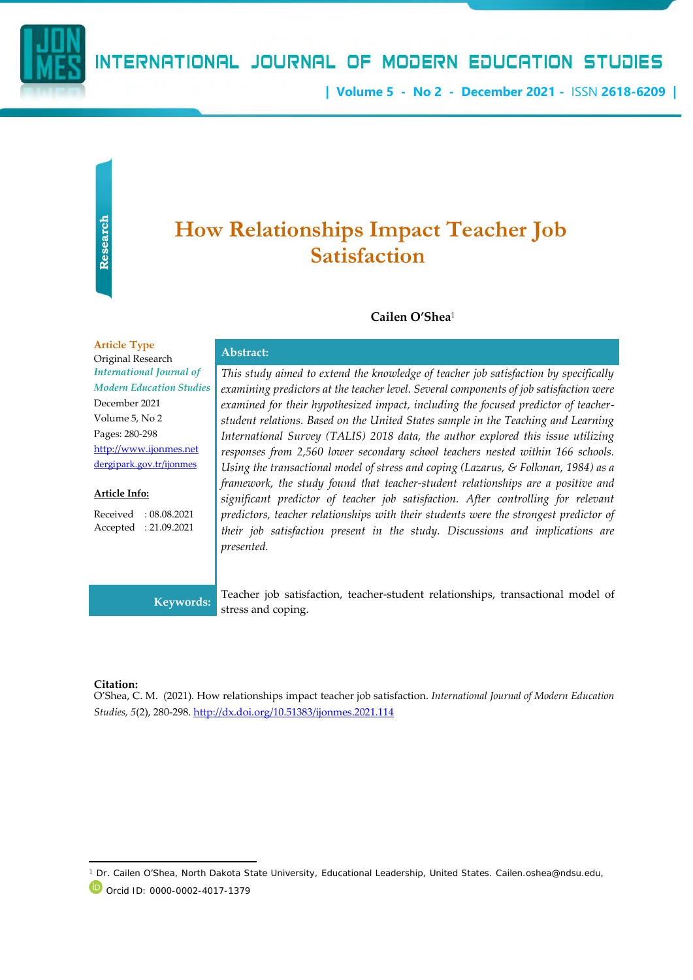

## INTERNATIONAL JOURNAL OF MODERN EDUCATION STUDIES

**| Volume 5 - No 2 - December 2021 -** ISSN **2618-6209 |**

# **How Relationships Impact Teacher Job Satisfaction**

#### **Cailen O'Shea**<sup>1</sup>

**Article Type** Alticle Type<br>Original Research **Abstract:** *International Journal of Modern Education Studies* December 2021 Volume 5, No 2 Pages: 280-298 [http://www.ijonmes.net](http://www.ijonmes.net/) [dergipark.gov.tr/ijonmes](http://www.dergipark.gov.tr/ijonmes)

#### **Article Info:**

Received : 08.08.2021 Accepted : 21.09.2021

*This study aimed to extend the knowledge of teacher job satisfaction by specifically examining predictors at the teacher level. Several components of job satisfaction were examined for their hypothesized impact, including the focused predictor of teacherstudent relations. Based on the United States sample in the Teaching and Learning International Survey (TALIS) 2018 data, the author explored this issue utilizing responses from 2,560 lower secondary school teachers nested within 166 schools. Using the transactional model of stress and coping (Lazarus, & Folkman, 1984) as a framework, the study found that teacher-student relationships are a positive and significant predictor of teacher job satisfaction. After controlling for relevant predictors, teacher relationships with their students were the strongest predictor of their job satisfaction present in the study. Discussions and implications are presented.* 

**Keywords:** Teacher job satisfaction, teacher-student relationships, transactional model of stress and coping.

#### **Citation:**

O'Shea, C. M. (2021). How relationships impact teacher job satisfaction. *International Journal of Modern Education Studies, 5*(2), 280-298[. http://dx.doi.org/10.51383/ijonmes.2021.114](http://dx.doi.org/10.51383/ijonmes.2021.114)

Dr. Cailen O'Shea, North Dakota State University, Educational Leadership, United States. Cailen.oshea@ndsu.edu, Orcid ID: 0000-0002-4017-1379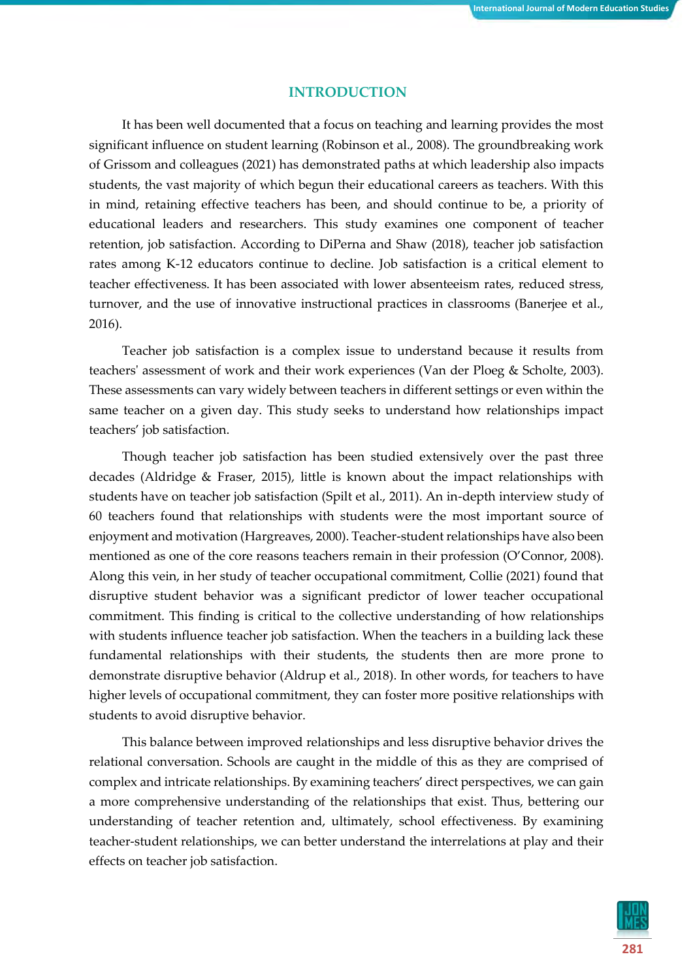#### **INTRODUCTION**

It has been well documented that a focus on teaching and learning provides the most significant influence on student learning (Robinson et al., 2008). The groundbreaking work of Grissom and colleagues (2021) has demonstrated paths at which leadership also impacts students, the vast majority of which begun their educational careers as teachers. With this in mind, retaining effective teachers has been, and should continue to be, a priority of educational leaders and researchers. This study examines one component of teacher retention, job satisfaction. According to DiPerna and Shaw (2018), teacher job satisfaction rates among K-12 educators continue to decline. Job satisfaction is a critical element to teacher effectiveness. It has been associated with lower absenteeism rates, reduced stress, turnover, and the use of innovative instructional practices in classrooms (Banerjee et al., 2016).

Teacher job satisfaction is a complex issue to understand because it results from teachers' assessment of work and their work experiences (Van der Ploeg & Scholte, 2003). These assessments can vary widely between teachers in different settings or even within the same teacher on a given day. This study seeks to understand how relationships impact teachers' job satisfaction.

Though teacher job satisfaction has been studied extensively over the past three decades (Aldridge & Fraser, 2015), little is known about the impact relationships with students have on teacher job satisfaction (Spilt et al., 2011). An in-depth interview study of 60 teachers found that relationships with students were the most important source of enjoyment and motivation (Hargreaves, 2000). Teacher-student relationships have also been mentioned as one of the core reasons teachers remain in their profession (O'Connor, 2008). Along this vein, in her study of teacher occupational commitment, Collie (2021) found that disruptive student behavior was a significant predictor of lower teacher occupational commitment. This finding is critical to the collective understanding of how relationships with students influence teacher job satisfaction. When the teachers in a building lack these fundamental relationships with their students, the students then are more prone to demonstrate disruptive behavior (Aldrup et al., 2018). In other words, for teachers to have higher levels of occupational commitment, they can foster more positive relationships with students to avoid disruptive behavior.

This balance between improved relationships and less disruptive behavior drives the relational conversation. Schools are caught in the middle of this as they are comprised of complex and intricate relationships. By examining teachers' direct perspectives, we can gain a more comprehensive understanding of the relationships that exist. Thus, bettering our understanding of teacher retention and, ultimately, school effectiveness. By examining teacher-student relationships, we can better understand the interrelations at play and their effects on teacher job satisfaction.

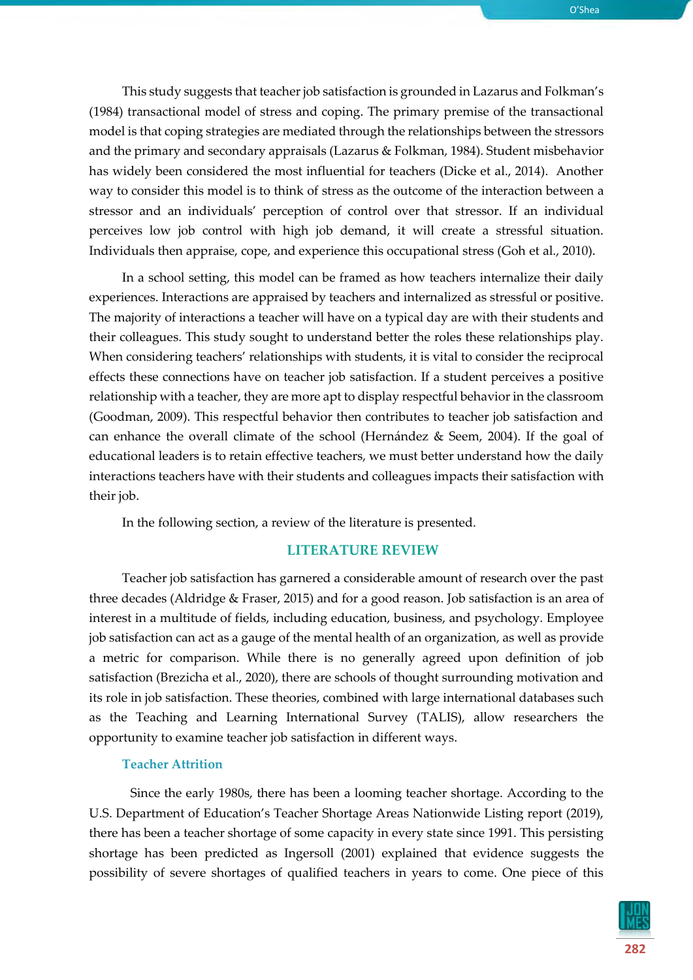

This study suggests that teacher job satisfaction is grounded in Lazarus and Folkman's (1984) transactional model of stress and coping. The primary premise of the transactional model is that coping strategies are mediated through the relationships between the stressors and the primary and secondary appraisals (Lazarus & Folkman, 1984). Student misbehavior has widely been considered the most influential for teachers (Dicke et al., 2014). Another way to consider this model is to think of stress as the outcome of the interaction between a stressor and an individuals' perception of control over that stressor. If an individual perceives low job control with high job demand, it will create a stressful situation. Individuals then appraise, cope, and experience this occupational stress (Goh et al., 2010).

In a school setting, this model can be framed as how teachers internalize their daily experiences. Interactions are appraised by teachers and internalized as stressful or positive. The majority of interactions a teacher will have on a typical day are with their students and their colleagues. This study sought to understand better the roles these relationships play. When considering teachers' relationships with students, it is vital to consider the reciprocal effects these connections have on teacher job satisfaction. If a student perceives a positive relationship with a teacher, they are more apt to display respectful behavior in the classroom (Goodman, 2009). This respectful behavior then contributes to teacher job satisfaction and can enhance the overall climate of the school (Hernández & Seem, 2004). If the goal of educational leaders is to retain effective teachers, we must better understand how the daily interactions teachers have with their students and colleagues impacts their satisfaction with their job.

In the following section, a review of the literature is presented.

#### **LITERATURE REVIEW**

Teacher job satisfaction has garnered a considerable amount of research over the past three decades (Aldridge & Fraser, 2015) and for a good reason. Job satisfaction is an area of interest in a multitude of fields, including education, business, and psychology. Employee job satisfaction can act as a gauge of the mental health of an organization, as well as provide a metric for comparison. While there is no generally agreed upon definition of job satisfaction (Brezicha et al., 2020), there are schools of thought surrounding motivation and its role in job satisfaction. These theories, combined with large international databases such as the Teaching and Learning International Survey (TALIS), allow researchers the opportunity to examine teacher job satisfaction in different ways.

#### **Teacher Attrition**

Since the early 1980s, there has been a looming teacher shortage. According to the U.S. Department of Education's Teacher Shortage Areas Nationwide Listing report (2019), there has been a teacher shortage of some capacity in every state since 1991. This persisting shortage has been predicted as Ingersoll (2001) explained that evidence suggests the possibility of severe shortages of qualified teachers in years to come. One piece of this

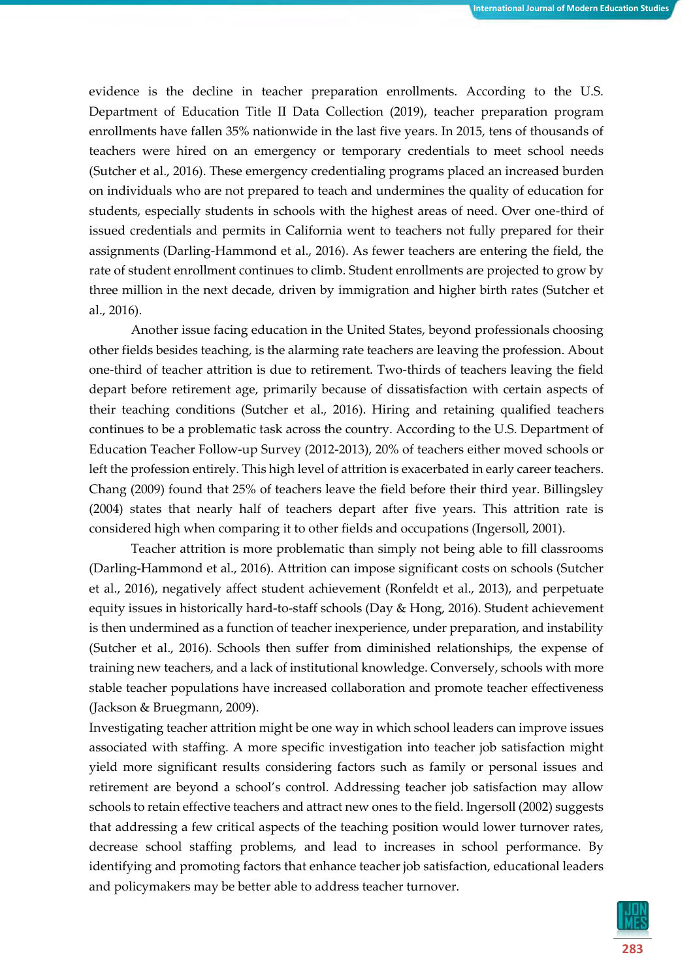evidence is the decline in teacher preparation enrollments. According to the U.S. Department of Education Title II Data Collection (2019), teacher preparation program enrollments have fallen 35% nationwide in the last five years. In 2015, tens of thousands of teachers were hired on an emergency or temporary credentials to meet school needs (Sutcher et al., 2016). These emergency credentialing programs placed an increased burden on individuals who are not prepared to teach and undermines the quality of education for students, especially students in schools with the highest areas of need. Over one-third of issued credentials and permits in California went to teachers not fully prepared for their assignments (Darling-Hammond et al., 2016). As fewer teachers are entering the field, the rate of student enrollment continues to climb. Student enrollments are projected to grow by three million in the next decade, driven by immigration and higher birth rates (Sutcher et al., 2016).

Another issue facing education in the United States, beyond professionals choosing other fields besides teaching, is the alarming rate teachers are leaving the profession. About one-third of teacher attrition is due to retirement. Two-thirds of teachers leaving the field depart before retirement age, primarily because of dissatisfaction with certain aspects of their teaching conditions (Sutcher et al., 2016). Hiring and retaining qualified teachers continues to be a problematic task across the country. According to the U.S. Department of Education Teacher Follow-up Survey (2012-2013), 20% of teachers either moved schools or left the profession entirely. This high level of attrition is exacerbated in early career teachers. Chang (2009) found that 25% of teachers leave the field before their third year. Billingsley (2004) states that nearly half of teachers depart after five years. This attrition rate is considered high when comparing it to other fields and occupations (Ingersoll, 2001).

Teacher attrition is more problematic than simply not being able to fill classrooms (Darling-Hammond et al., 2016). Attrition can impose significant costs on schools (Sutcher et al., 2016), negatively affect student achievement (Ronfeldt et al., 2013), and perpetuate equity issues in historically hard-to-staff schools (Day & Hong, 2016). Student achievement is then undermined as a function of teacher inexperience, under preparation, and instability (Sutcher et al., 2016). Schools then suffer from diminished relationships, the expense of training new teachers, and a lack of institutional knowledge. Conversely, schools with more stable teacher populations have increased collaboration and promote teacher effectiveness (Jackson & Bruegmann, 2009).

Investigating teacher attrition might be one way in which school leaders can improve issues associated with staffing. A more specific investigation into teacher job satisfaction might yield more significant results considering factors such as family or personal issues and retirement are beyond a school's control. Addressing teacher job satisfaction may allow schools to retain effective teachers and attract new ones to the field. Ingersoll (2002) suggests that addressing a few critical aspects of the teaching position would lower turnover rates, decrease school staffing problems, and lead to increases in school performance. By identifying and promoting factors that enhance teacher job satisfaction, educational leaders and policymakers may be better able to address teacher turnover.

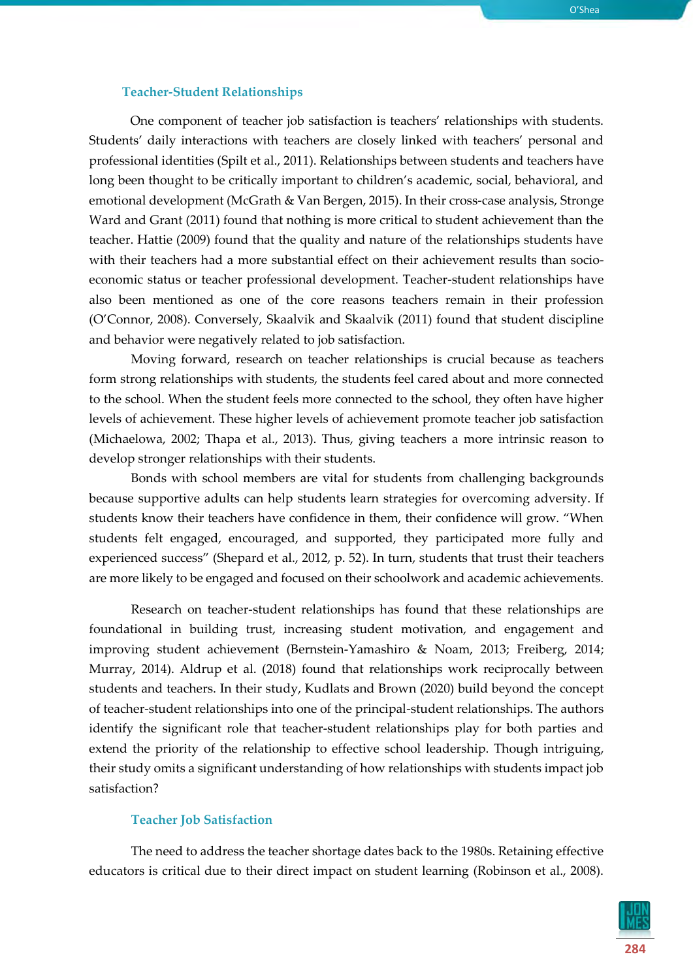#### **Teacher-Student Relationships**

One component of teacher job satisfaction is teachers' relationships with students. Students' daily interactions with teachers are closely linked with teachers' personal and professional identities (Spilt et al., 2011). Relationships between students and teachers have long been thought to be critically important to children's academic, social, behavioral, and emotional development (McGrath & Van Bergen, 2015). In their cross-case analysis, Stronge Ward and Grant (2011) found that nothing is more critical to student achievement than the teacher. Hattie (2009) found that the quality and nature of the relationships students have with their teachers had a more substantial effect on their achievement results than socioeconomic status or teacher professional development. Teacher-student relationships have also been mentioned as one of the core reasons teachers remain in their profession (O'Connor, 2008). Conversely, Skaalvik and Skaalvik (2011) found that student discipline and behavior were negatively related to job satisfaction.

Moving forward, research on teacher relationships is crucial because as teachers form strong relationships with students, the students feel cared about and more connected to the school. When the student feels more connected to the school, they often have higher levels of achievement. These higher levels of achievement promote teacher job satisfaction (Michaelowa, 2002; Thapa et al., 2013). Thus, giving teachers a more intrinsic reason to develop stronger relationships with their students.

Bonds with school members are vital for students from challenging backgrounds because supportive adults can help students learn strategies for overcoming adversity. If students know their teachers have confidence in them, their confidence will grow. "When students felt engaged, encouraged, and supported, they participated more fully and experienced success" (Shepard et al., 2012, p. 52). In turn, students that trust their teachers are more likely to be engaged and focused on their schoolwork and academic achievements.

Research on teacher-student relationships has found that these relationships are foundational in building trust, increasing student motivation, and engagement and improving student achievement (Bernstein-Yamashiro & Noam, 2013; Freiberg, 2014; Murray, 2014). Aldrup et al. (2018) found that relationships work reciprocally between students and teachers. In their study, Kudlats and Brown (2020) build beyond the concept of teacher-student relationships into one of the principal-student relationships. The authors identify the significant role that teacher-student relationships play for both parties and extend the priority of the relationship to effective school leadership. Though intriguing, their study omits a significant understanding of how relationships with students impact job satisfaction?

#### **Teacher Job Satisfaction**

The need to address the teacher shortage dates back to the 1980s. Retaining effective educators is critical due to their direct impact on student learning (Robinson et al., 2008).

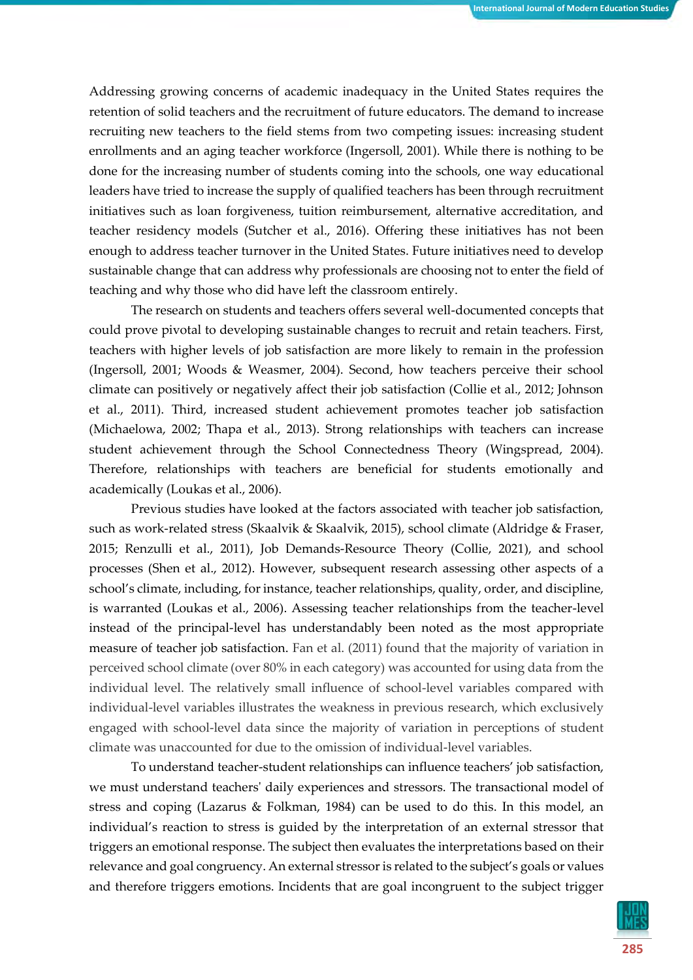Addressing growing concerns of academic inadequacy in the United States requires the retention of solid teachers and the recruitment of future educators. The demand to increase recruiting new teachers to the field stems from two competing issues: increasing student enrollments and an aging teacher workforce (Ingersoll, 2001). While there is nothing to be done for the increasing number of students coming into the schools, one way educational leaders have tried to increase the supply of qualified teachers has been through recruitment initiatives such as loan forgiveness, tuition reimbursement, alternative accreditation, and teacher residency models (Sutcher et al., 2016). Offering these initiatives has not been enough to address teacher turnover in the United States. Future initiatives need to develop sustainable change that can address why professionals are choosing not to enter the field of teaching and why those who did have left the classroom entirely.

The research on students and teachers offers several well-documented concepts that could prove pivotal to developing sustainable changes to recruit and retain teachers. First, teachers with higher levels of job satisfaction are more likely to remain in the profession (Ingersoll, 2001; Woods & Weasmer, 2004). Second, how teachers perceive their school climate can positively or negatively affect their job satisfaction (Collie et al., 2012; Johnson et al., 2011). Third, increased student achievement promotes teacher job satisfaction (Michaelowa, 2002; Thapa et al., 2013). Strong relationships with teachers can increase student achievement through the School Connectedness Theory (Wingspread, 2004). Therefore, relationships with teachers are beneficial for students emotionally and academically (Loukas et al., 2006).

Previous studies have looked at the factors associated with teacher job satisfaction, such as work-related stress (Skaalvik & Skaalvik, 2015), school climate (Aldridge & Fraser, 2015; Renzulli et al., 2011), Job Demands-Resource Theory (Collie, 2021), and school processes (Shen et al., 2012). However, subsequent research assessing other aspects of a school's climate, including, for instance, teacher relationships, quality, order, and discipline, is warranted (Loukas et al., 2006). Assessing teacher relationships from the teacher-level instead of the principal-level has understandably been noted as the most appropriate measure of teacher job satisfaction. Fan et al. (2011) found that the majority of variation in perceived school climate (over 80% in each category) was accounted for using data from the individual level. The relatively small influence of school-level variables compared with individual-level variables illustrates the weakness in previous research, which exclusively engaged with school-level data since the majority of variation in perceptions of student climate was unaccounted for due to the omission of individual-level variables.

To understand teacher-student relationships can influence teachers' job satisfaction, we must understand teachers' daily experiences and stressors. The transactional model of stress and coping (Lazarus & Folkman, 1984) can be used to do this. In this model, an individual's reaction to stress is guided by the interpretation of an external stressor that triggers an emotional response. The subject then evaluates the interpretations based on their relevance and goal congruency. An external stressor is related to the subject's goals or values and therefore triggers emotions. Incidents that are goal incongruent to the subject trigger

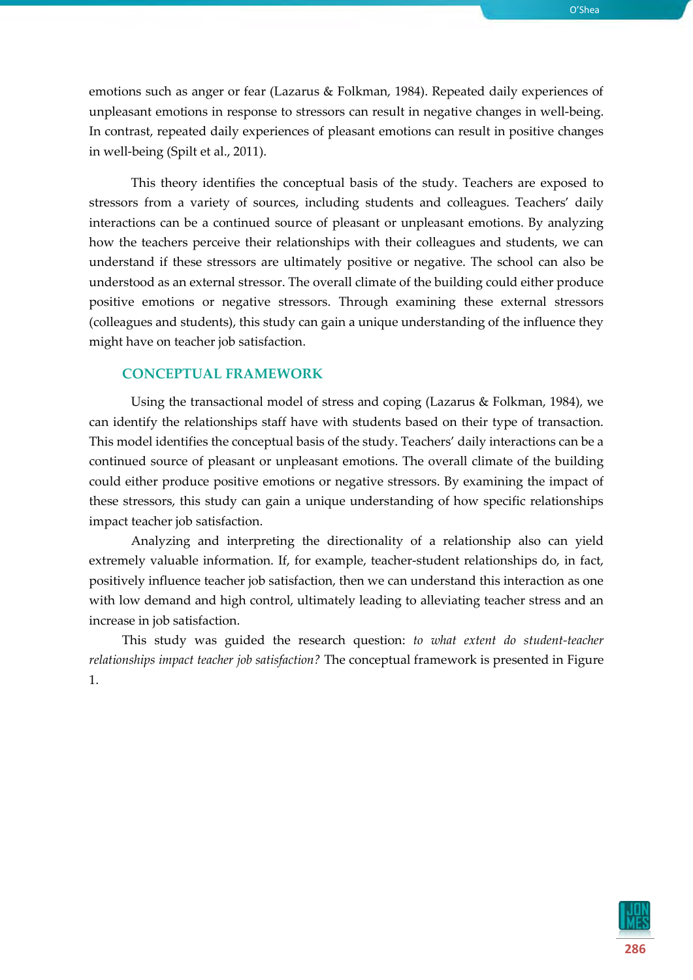emotions such as anger or fear (Lazarus & Folkman, 1984). Repeated daily experiences of unpleasant emotions in response to stressors can result in negative changes in well-being. In contrast, repeated daily experiences of pleasant emotions can result in positive changes in well-being (Spilt et al., 2011).

This theory identifies the conceptual basis of the study. Teachers are exposed to stressors from a variety of sources, including students and colleagues. Teachers' daily interactions can be a continued source of pleasant or unpleasant emotions. By analyzing how the teachers perceive their relationships with their colleagues and students, we can understand if these stressors are ultimately positive or negative. The school can also be understood as an external stressor. The overall climate of the building could either produce positive emotions or negative stressors. Through examining these external stressors (colleagues and students), this study can gain a unique understanding of the influence they might have on teacher job satisfaction.

#### **CONCEPTUAL FRAMEWORK**

Using the transactional model of stress and coping (Lazarus & Folkman, 1984), we can identify the relationships staff have with students based on their type of transaction. This model identifies the conceptual basis of the study. Teachers' daily interactions can be a continued source of pleasant or unpleasant emotions. The overall climate of the building could either produce positive emotions or negative stressors. By examining the impact of these stressors, this study can gain a unique understanding of how specific relationships impact teacher job satisfaction.

Analyzing and interpreting the directionality of a relationship also can yield extremely valuable information. If, for example, teacher-student relationships do, in fact, positively influence teacher job satisfaction, then we can understand this interaction as one with low demand and high control, ultimately leading to alleviating teacher stress and an increase in job satisfaction.

This study was guided the research question: *to what extent do student-teacher relationships impact teacher job satisfaction?* The conceptual framework is presented in Figure 1.

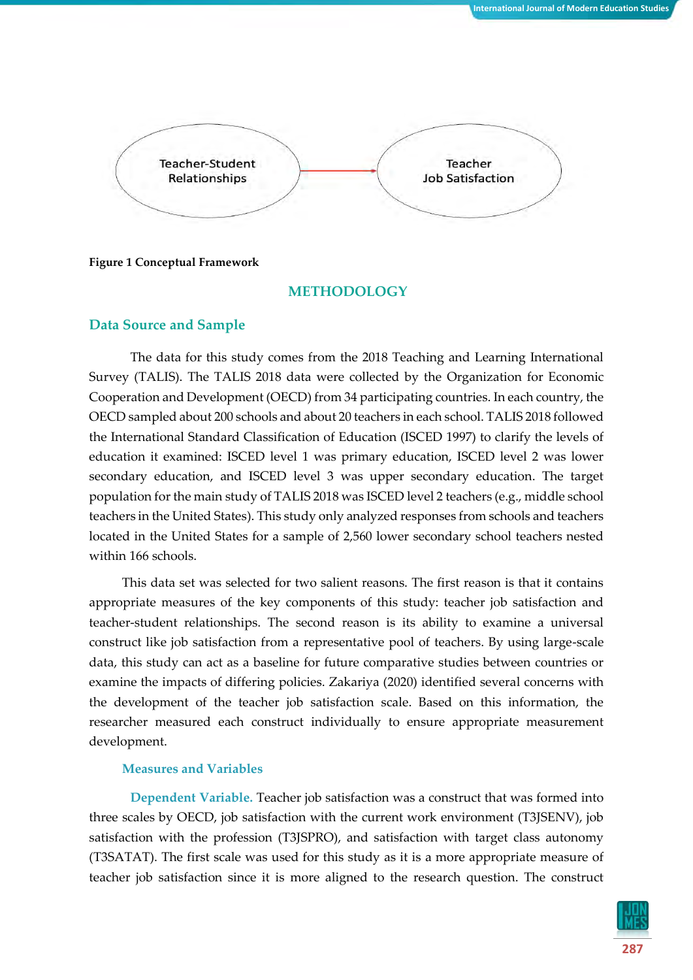

#### **Figure 1 Conceptual Framework**

#### **METHODOLOGY**

#### **Data Source and Sample**

The data for this study comes from the 2018 Teaching and Learning International Survey (TALIS). The TALIS 2018 data were collected by the Organization for Economic Cooperation and Development (OECD) from 34 participating countries. In each country, the OECD sampled about 200 schools and about 20 teachers in each school. TALIS 2018 followed the International Standard Classification of Education (ISCED 1997) to clarify the levels of education it examined: ISCED level 1 was primary education, ISCED level 2 was lower secondary education, and ISCED level 3 was upper secondary education. The target population for the main study of TALIS 2018 was ISCED level 2 teachers (e.g., middle school teachers in the United States). This study only analyzed responses from schools and teachers located in the United States for a sample of 2,560 lower secondary school teachers nested within 166 schools.

This data set was selected for two salient reasons. The first reason is that it contains appropriate measures of the key components of this study: teacher job satisfaction and teacher-student relationships. The second reason is its ability to examine a universal construct like job satisfaction from a representative pool of teachers. By using large-scale data, this study can act as a baseline for future comparative studies between countries or examine the impacts of differing policies. Zakariya (2020) identified several concerns with the development of the teacher job satisfaction scale. Based on this information, the researcher measured each construct individually to ensure appropriate measurement development.

#### **Measures and Variables**

**Dependent Variable.** Teacher job satisfaction was a construct that was formed into three scales by OECD, job satisfaction with the current work environment (T3JSENV), job satisfaction with the profession (T3JSPRO), and satisfaction with target class autonomy (T3SATAT). The first scale was used for this study as it is a more appropriate measure of teacher job satisfaction since it is more aligned to the research question. The construct

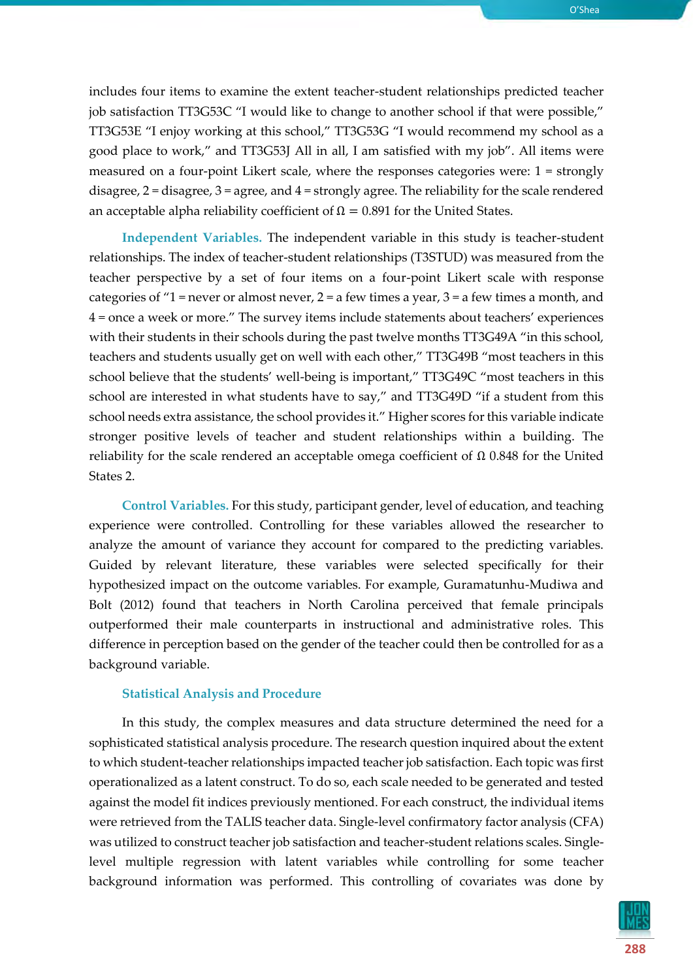O'Shea

includes four items to examine the extent teacher-student relationships predicted teacher job satisfaction TT3G53C "I would like to change to another school if that were possible," TT3G53E "I enjoy working at this school," TT3G53G "I would recommend my school as a good place to work," and TT3G53J All in all, I am satisfied with my job". All items were measured on a four-point Likert scale, where the responses categories were: 1 = strongly disagree, 2 = disagree, 3 = agree, and 4 = strongly agree. The reliability for the scale rendered an acceptable alpha reliability coefficient of  $Ω = 0.891$  for the United States.

**Independent Variables.** The independent variable in this study is teacher-student relationships. The index of teacher-student relationships (T3STUD) was measured from the teacher perspective by a set of four items on a four-point Likert scale with response categories of "1 = never or almost never, 2 = a few times a year, 3 = a few times a month, and 4 = once a week or more." The survey items include statements about teachers' experiences with their students in their schools during the past twelve months TT3G49A "in this school, teachers and students usually get on well with each other," TT3G49B "most teachers in this school believe that the students' well-being is important," TT3G49C "most teachers in this school are interested in what students have to say," and TT3G49D "if a student from this school needs extra assistance, the school provides it." Higher scores for this variable indicate stronger positive levels of teacher and student relationships within a building. The reliability for the scale rendered an acceptable omega coefficient of  $Ω$  0.848 for the United States 2.

**Control Variables.** For this study, participant gender, level of education, and teaching experience were controlled. Controlling for these variables allowed the researcher to analyze the amount of variance they account for compared to the predicting variables. Guided by relevant literature, these variables were selected specifically for their hypothesized impact on the outcome variables. For example, Guramatunhu-Mudiwa and Bolt (2012) found that teachers in North Carolina perceived that female principals outperformed their male counterparts in instructional and administrative roles. This difference in perception based on the gender of the teacher could then be controlled for as a background variable.

#### **Statistical Analysis and Procedure**

In this study, the complex measures and data structure determined the need for a sophisticated statistical analysis procedure. The research question inquired about the extent to which student-teacher relationships impacted teacher job satisfaction. Each topic was first operationalized as a latent construct. To do so, each scale needed to be generated and tested against the model fit indices previously mentioned. For each construct, the individual items were retrieved from the TALIS teacher data. Single-level confirmatory factor analysis (CFA) was utilized to construct teacher job satisfaction and teacher-student relations scales. Singlelevel multiple regression with latent variables while controlling for some teacher background information was performed. This controlling of covariates was done by

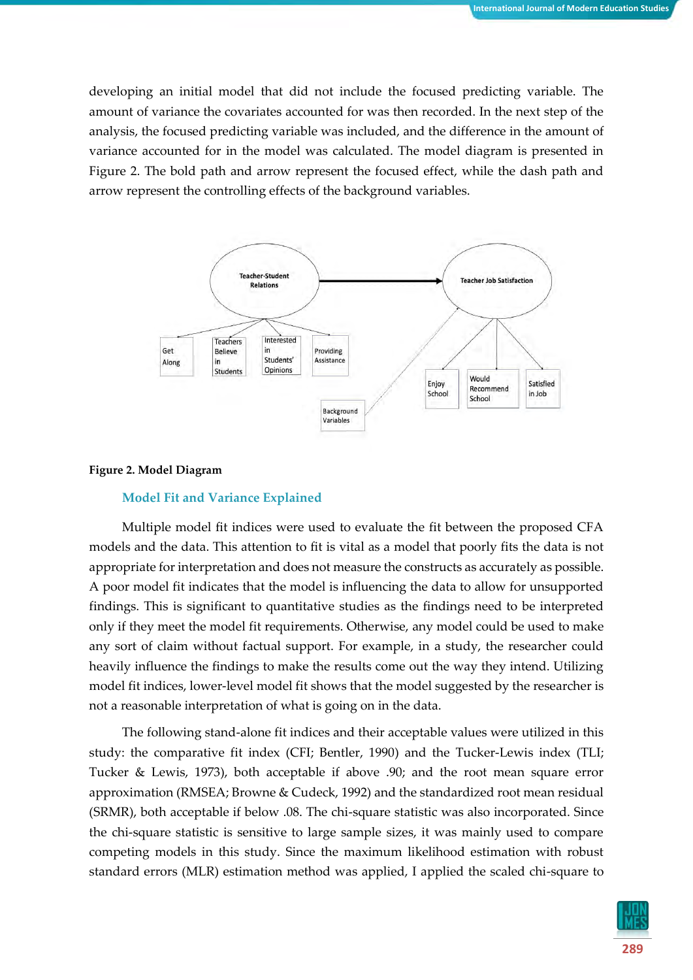developing an initial model that did not include the focused predicting variable. The amount of variance the covariates accounted for was then recorded. In the next step of the analysis, the focused predicting variable was included, and the difference in the amount of variance accounted for in the model was calculated. The model diagram is presented in Figure 2. The bold path and arrow represent the focused effect, while the dash path and arrow represent the controlling effects of the background variables.



#### **Figure 2. Model Diagram**

#### **Model Fit and Variance Explained**

Multiple model fit indices were used to evaluate the fit between the proposed CFA models and the data. This attention to fit is vital as a model that poorly fits the data is not appropriate for interpretation and does not measure the constructs as accurately as possible. A poor model fit indicates that the model is influencing the data to allow for unsupported findings. This is significant to quantitative studies as the findings need to be interpreted only if they meet the model fit requirements. Otherwise, any model could be used to make any sort of claim without factual support. For example, in a study, the researcher could heavily influence the findings to make the results come out the way they intend. Utilizing model fit indices, lower-level model fit shows that the model suggested by the researcher is not a reasonable interpretation of what is going on in the data.

The following stand-alone fit indices and their acceptable values were utilized in this study: the comparative fit index (CFI; Bentler, 1990) and the Tucker-Lewis index (TLI; Tucker & Lewis, 1973), both acceptable if above .90; and the root mean square error approximation (RMSEA; Browne & Cudeck, 1992) and the standardized root mean residual (SRMR), both acceptable if below .08. The chi-square statistic was also incorporated. Since the chi-square statistic is sensitive to large sample sizes, it was mainly used to compare competing models in this study. Since the maximum likelihood estimation with robust standard errors (MLR) estimation method was applied, I applied the scaled chi-square to

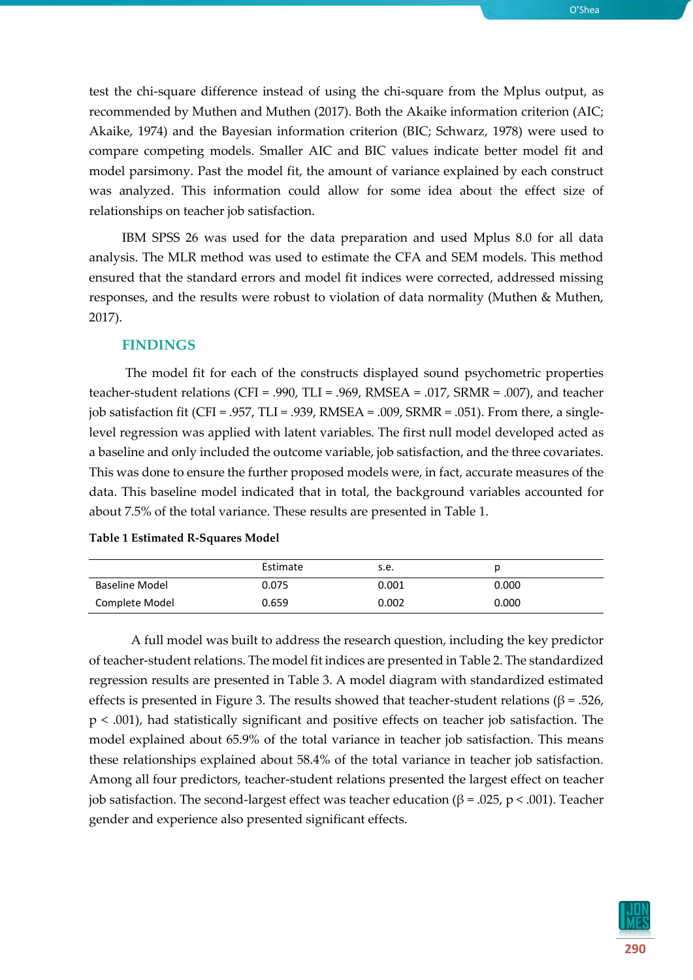test the chi-square difference instead of using the chi-square from the Mplus output, as recommended by Muthen and Muthen (2017). Both the Akaike information criterion (AIC; Akaike, 1974) and the Bayesian information criterion (BIC; Schwarz, 1978) were used to compare competing models. Smaller AIC and BIC values indicate better model fit and model parsimony. Past the model fit, the amount of variance explained by each construct was analyzed. This information could allow for some idea about the effect size of relationships on teacher job satisfaction.

IBM SPSS 26 was used for the data preparation and used Mplus 8.0 for all data analysis. The MLR method was used to estimate the CFA and SEM models. This method ensured that the standard errors and model fit indices were corrected, addressed missing responses, and the results were robust to violation of data normality (Muthen & Muthen, 2017).

#### **FINDINGS**

The model fit for each of the constructs displayed sound psychometric properties teacher-student relations (CFI = .990, TLI = .969, RMSEA = .017, SRMR = .007), and teacher job satisfaction fit (CFI = .957, TLI = .939, RMSEA = .009, SRMR = .051). From there, a singlelevel regression was applied with latent variables. The first null model developed acted as a baseline and only included the outcome variable, job satisfaction, and the three covariates. This was done to ensure the further proposed models were, in fact, accurate measures of the data. This baseline model indicated that in total, the background variables accounted for about 7.5% of the total variance. These results are presented in Table 1.

|                | Estimate | s.e.  |       |
|----------------|----------|-------|-------|
| Baseline Model | 0.075    | 0.001 | 0.000 |
| Complete Model | 0.659    | 0.002 | 0.000 |

#### **Table 1 Estimated R-Squares Model**

A full model was built to address the research question, including the key predictor of teacher-student relations. The model fit indices are presented in Table 2. The standardized regression results are presented in Table 3. A model diagram with standardized estimated effects is presented in Figure 3. The results showed that teacher-student relations ( $\beta$  = .526, p < .001), had statistically significant and positive effects on teacher job satisfaction. The model explained about 65.9% of the total variance in teacher job satisfaction. This means these relationships explained about 58.4% of the total variance in teacher job satisfaction. Among all four predictors, teacher-student relations presented the largest effect on teacher job satisfaction. The second-largest effect was teacher education (β = .025, p < .001). Teacher gender and experience also presented significant effects.

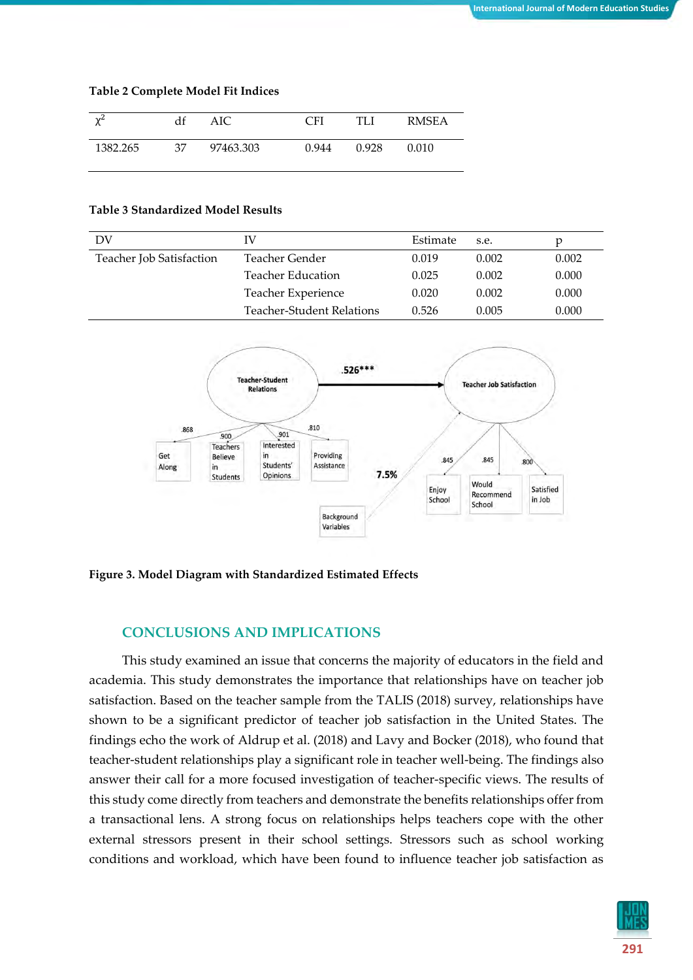| $\mathcal{L}^2$ | df | AIC       | $\subset$ FI | TLI   | RMSEA |
|-----------------|----|-----------|--------------|-------|-------|
| 1382.265        | 37 | 97463.303 | 0.944        | 0.928 | 0.010 |

#### **Table 3 Standardized Model Results**

| DV                       | IV                               | Estimate | s.e.  |       |
|--------------------------|----------------------------------|----------|-------|-------|
| Teacher Job Satisfaction | Teacher Gender                   | 0.019    | 0.002 | 0.002 |
|                          | <b>Teacher Education</b>         | 0.025    | 0.002 | 0.000 |
|                          | Teacher Experience               | 0.020    | 0.002 | 0.000 |
|                          | <b>Teacher-Student Relations</b> | 0.526    | 0.005 | 0.000 |



**Figure 3. Model Diagram with Standardized Estimated Effects**

### **CONCLUSIONS AND IMPLICATIONS**

This study examined an issue that concerns the majority of educators in the field and academia. This study demonstrates the importance that relationships have on teacher job satisfaction. Based on the teacher sample from the TALIS (2018) survey, relationships have shown to be a significant predictor of teacher job satisfaction in the United States. The findings echo the work of Aldrup et al. (2018) and Lavy and Bocker (2018), who found that teacher-student relationships play a significant role in teacher well-being. The findings also answer their call for a more focused investigation of teacher-specific views. The results of this study come directly from teachers and demonstrate the benefits relationships offer from a transactional lens. A strong focus on relationships helps teachers cope with the other external stressors present in their school settings. Stressors such as school working conditions and workload, which have been found to influence teacher job satisfaction as

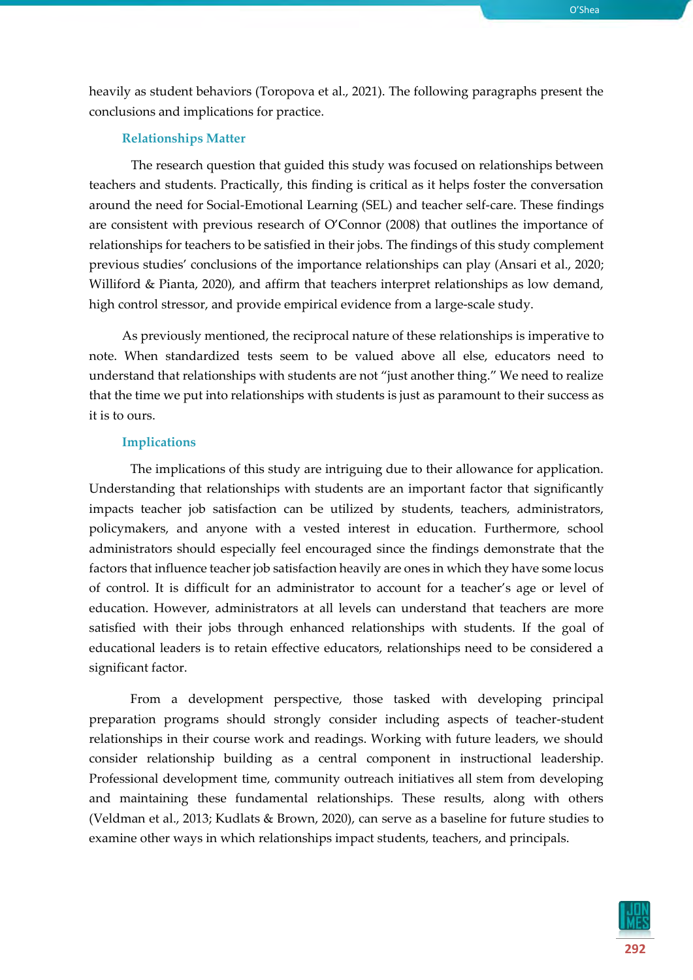heavily as student behaviors (Toropova et al., 2021). The following paragraphs present the conclusions and implications for practice.

#### **Relationships Matter**

The research question that guided this study was focused on relationships between teachers and students. Practically, this finding is critical as it helps foster the conversation around the need for Social-Emotional Learning (SEL) and teacher self-care. These findings are consistent with previous research of O'Connor (2008) that outlines the importance of relationships for teachers to be satisfied in their jobs. The findings of this study complement previous studies' conclusions of the importance relationships can play (Ansari et al., 2020; Williford & Pianta, 2020), and affirm that teachers interpret relationships as low demand, high control stressor, and provide empirical evidence from a large-scale study.

As previously mentioned, the reciprocal nature of these relationships is imperative to note. When standardized tests seem to be valued above all else, educators need to understand that relationships with students are not "just another thing." We need to realize that the time we put into relationships with students is just as paramount to their success as it is to ours.

#### **Implications**

The implications of this study are intriguing due to their allowance for application. Understanding that relationships with students are an important factor that significantly impacts teacher job satisfaction can be utilized by students, teachers, administrators, policymakers, and anyone with a vested interest in education. Furthermore, school administrators should especially feel encouraged since the findings demonstrate that the factors that influence teacher job satisfaction heavily are ones in which they have some locus of control. It is difficult for an administrator to account for a teacher's age or level of education. However, administrators at all levels can understand that teachers are more satisfied with their jobs through enhanced relationships with students. If the goal of educational leaders is to retain effective educators, relationships need to be considered a significant factor.

From a development perspective, those tasked with developing principal preparation programs should strongly consider including aspects of teacher-student relationships in their course work and readings. Working with future leaders, we should consider relationship building as a central component in instructional leadership. Professional development time, community outreach initiatives all stem from developing and maintaining these fundamental relationships. These results, along with others (Veldman et al., 2013; Kudlats & Brown, 2020), can serve as a baseline for future studies to examine other ways in which relationships impact students, teachers, and principals.

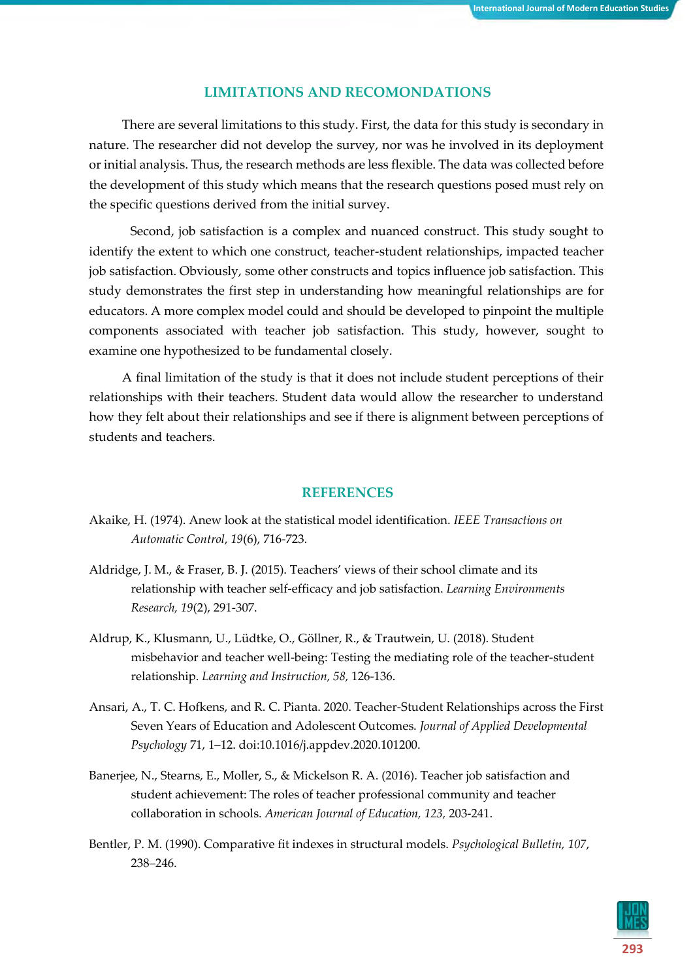#### **LIMITATIONS AND RECOMONDATIONS**

There are several limitations to this study. First, the data for this study is secondary in nature. The researcher did not develop the survey, nor was he involved in its deployment or initial analysis. Thus, the research methods are less flexible. The data was collected before the development of this study which means that the research questions posed must rely on the specific questions derived from the initial survey.

Second, job satisfaction is a complex and nuanced construct. This study sought to identify the extent to which one construct, teacher-student relationships, impacted teacher job satisfaction. Obviously, some other constructs and topics influence job satisfaction. This study demonstrates the first step in understanding how meaningful relationships are for educators. A more complex model could and should be developed to pinpoint the multiple components associated with teacher job satisfaction. This study, however, sought to examine one hypothesized to be fundamental closely.

A final limitation of the study is that it does not include student perceptions of their relationships with their teachers. Student data would allow the researcher to understand how they felt about their relationships and see if there is alignment between perceptions of students and teachers.

#### **REFERENCES**

- Akaike, H. (1974). Anew look at the statistical model identification. *IEEE Transactions on Automatic Control*, *19*(6), 716-723.
- Aldridge, J. M., & Fraser, B. J. (2015). Teachers' views of their school climate and its relationship with teacher self-efficacy and job satisfaction. *Learning Environments Research, 19*(2), 291-307.
- Aldrup, K., Klusmann, U., Lüdtke, O., Göllner, R., & Trautwein, U. (2018). Student misbehavior and teacher well-being: Testing the mediating role of the teacher-student relationship. *Learning and Instruction, 58,* 126-136.
- Ansari, A., T. C. Hofkens, and R. C. Pianta. 2020. Teacher-Student Relationships across the First Seven Years of Education and Adolescent Outcomes. *Journal of Applied Developmental Psychology* 71, 1–12. doi:10.1016/j.appdev.2020.101200.
- Banerjee, N., Stearns, E., Moller, S., & Mickelson R. A. (2016). Teacher job satisfaction and student achievement: The roles of teacher professional community and teacher collaboration in schools. *American Journal of Education, 123,* 203-241.
- Bentler, P. M. (1990). Comparative fit indexes in structural models. *Psychological Bulletin, 107*, 238–246.

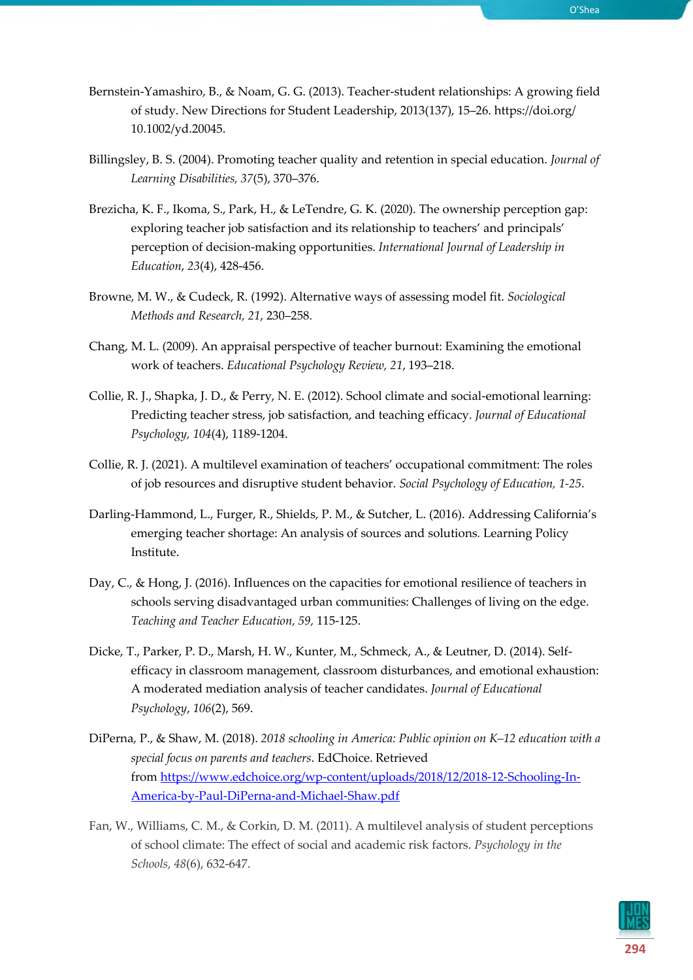- Bernstein-Yamashiro, B., & Noam, G. G. (2013). Teacher-student relationships: A growing field of study. New Directions for Student Leadership, 2013(137), 15–26. https://doi.org/ 10.1002/yd.20045.
- Billingsley, B. S. (2004). Promoting teacher quality and retention in special education. *Journal of Learning Disabilities, 37*(5), 370–376.
- Brezicha, K. F., Ikoma, S., Park, H., & LeTendre, G. K. (2020). The ownership perception gap: exploring teacher job satisfaction and its relationship to teachers' and principals' perception of decision-making opportunities. *International Journal of Leadership in Education*, *23*(4), 428-456.
- Browne, M. W., & Cudeck, R. (1992). Alternative ways of assessing model fit. *Sociological Methods and Research, 21*, 230–258.
- Chang, M. L. (2009). An appraisal perspective of teacher burnout: Examining the emotional work of teachers. *Educational Psychology Review, 21*, 193–218.
- Collie, R. J., Shapka, J. D., & Perry, N. E. (2012). School climate and social-emotional learning: Predicting teacher stress, job satisfaction, and teaching efficacy. *Journal of Educational Psychology, 104*(4), 1189-1204.
- Collie, R. J. (2021). A multilevel examination of teachers' occupational commitment: The roles of job resources and disruptive student behavior. *Social Psychology of Education, 1-25*.
- Darling-Hammond, L., Furger, R., Shields, P. M., & Sutcher, L. (2016). Addressing California's emerging teacher shortage: An analysis of sources and solutions*.* Learning Policy Institute.
- Day, C., & Hong, J. (2016). Influences on the capacities for emotional resilience of teachers in schools serving disadvantaged urban communities: Challenges of living on the edge. *Teaching and Teacher Education, 59,* 115-125.
- Dicke, T., Parker, P. D., Marsh, H. W., Kunter, M., Schmeck, A., & Leutner, D. (2014). Selfefficacy in classroom management, classroom disturbances, and emotional exhaustion: A moderated mediation analysis of teacher candidates. *Journal of Educational Psychology*, *106*(2), 569.
- DiPerna, P., & Shaw, M. (2018). *2018 schooling in America: Public opinion on K–12 education with a special focus on parents and teachers*. EdChoice. Retrieved from [https://www.edchoice.org/wp-content/uploads/2018/12/2018-12-Schooling-In-](https://www.edchoice.org/wp-content/uploads/2018/12/2018-12-Schooling-In-America-by-Paul-DiPerna-and-Michael-Shaw.pdf)[America-by-Paul-DiPerna-and-Michael-Shaw.pdf](https://www.edchoice.org/wp-content/uploads/2018/12/2018-12-Schooling-In-America-by-Paul-DiPerna-and-Michael-Shaw.pdf)
- Fan, W., Williams, C. M., & Corkin, D. M. (2011). A multilevel analysis of student perceptions of school climate: The effect of social and academic risk factors. *Psychology in the Schools, 48*(6), 632-647.

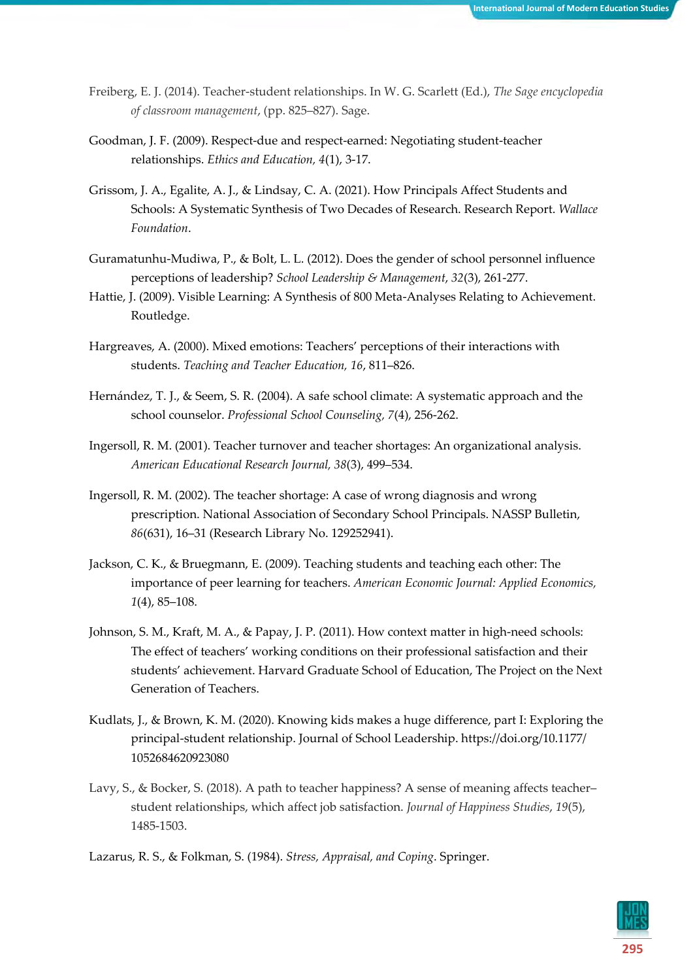- Freiberg, E. J. (2014). Teacher-student relationships. In W. G. Scarlett (Ed.), *The Sage encyclopedia of classroom management*, (pp. 825–827). Sage.
- Goodman, J. F. (2009). Respect-due and respect-earned: Negotiating student-teacher relationships. *Ethics and Education, 4*(1), 3-17.
- Grissom, J. A., Egalite, A. J., & Lindsay, C. A. (2021). How Principals Affect Students and Schools: A Systematic Synthesis of Two Decades of Research. Research Report. *Wallace Foundation*.
- Guramatunhu-Mudiwa, P., & Bolt, L. L. (2012). Does the gender of school personnel influence perceptions of leadership? *School Leadership & Management*, *32*(3), 261-277.
- Hattie, J. (2009). Visible Learning: A Synthesis of 800 Meta-Analyses Relating to Achievement. Routledge.
- Hargreaves, A. (2000). Mixed emotions: Teachers' perceptions of their interactions with students. *Teaching and Teacher Education, 16*, 811–826.
- Hernández, T. J., & Seem, S. R. (2004). A safe school climate: A systematic approach and the school counselor. *Professional School Counseling, 7*(4), 256-262.
- Ingersoll, R. M. (2001). Teacher turnover and teacher shortages: An organizational analysis. *American Educational Research Journal, 38*(3), 499–534.
- Ingersoll, R. M. (2002). The teacher shortage: A case of wrong diagnosis and wrong prescription. National Association of Secondary School Principals. NASSP Bulletin, *86*(631), 16–31 (Research Library No. 129252941).
- Jackson, C. K., & Bruegmann, E. (2009). Teaching students and teaching each other: The importance of peer learning for teachers. *American Economic Journal: Applied Economics, 1*(4), 85–108.
- Johnson, S. M., Kraft, M. A., & Papay, J. P. (2011). How context matter in high-need schools: The effect of teachers' working conditions on their professional satisfaction and their students' achievement. Harvard Graduate School of Education, The Project on the Next Generation of Teachers.
- Kudlats, J., & Brown, K. M. (2020). Knowing kids makes a huge difference, part I: Exploring the principal-student relationship. Journal of School Leadership. https://doi.org/10.1177/ 1052684620923080
- Lavy, S., & Bocker, S. (2018). A path to teacher happiness? A sense of meaning affects teacher– student relationships, which affect job satisfaction. *Journal of Happiness Studies*, *19*(5), 1485-1503.

Lazarus, R. S., & Folkman, S. (1984). *Stress, Appraisal, and Coping*. Springer.

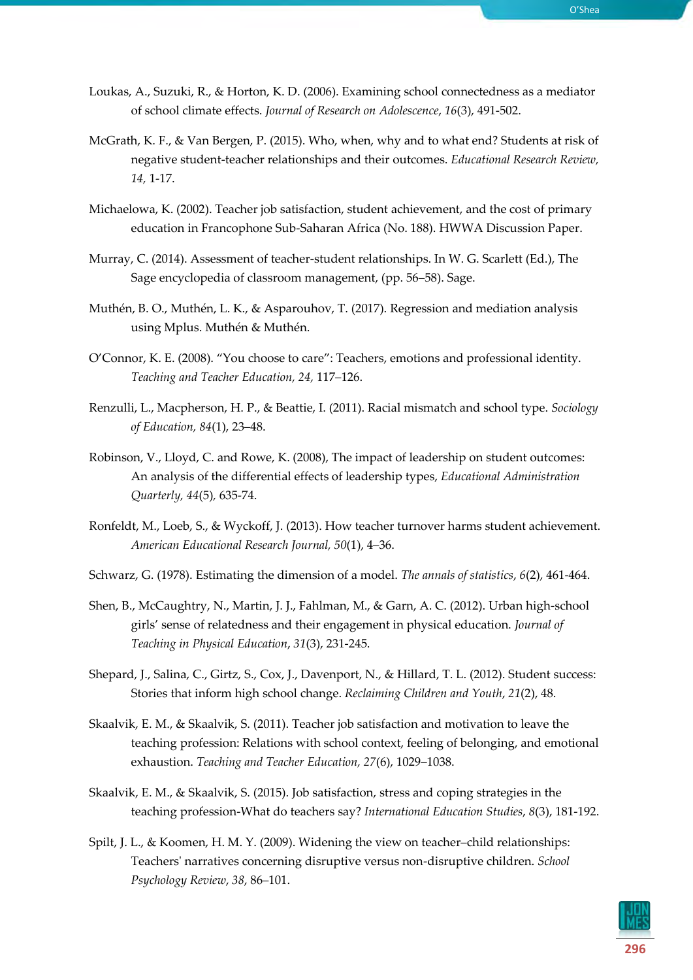- Loukas, A., Suzuki, R., & Horton, K. D. (2006). Examining school connectedness as a mediator of school climate effects. *Journal of Research on Adolescence*, *16*(3), 491-502.
- McGrath, K. F., & Van Bergen, P. (2015). Who, when, why and to what end? Students at risk of negative student-teacher relationships and their outcomes. *Educational Research Review, 14,* 1-17.
- Michaelowa, K. (2002). Teacher job satisfaction, student achievement, and the cost of primary education in Francophone Sub-Saharan Africa (No. 188). HWWA Discussion Paper.
- Murray, C. (2014). Assessment of teacher-student relationships. In W. G. Scarlett (Ed.), The Sage encyclopedia of classroom management, (pp. 56–58). Sage.
- Muthén, B. O., Muthén, L. K., & Asparouhov, T. (2017). Regression and mediation analysis using Mplus. Muthén & Muthén.
- O'Connor, K. E. (2008). "You choose to care": Teachers, emotions and professional identity. *Teaching and Teacher Education, 24,* 117–126.
- Renzulli, L., Macpherson, H. P., & Beattie, I. (2011). Racial mismatch and school type. *Sociology of Education, 84*(1), 23–48.
- Robinson, V., Lloyd, C. and Rowe, K. (2008), The impact of leadership on student outcomes: An analysis of the differential effects of leadership types, *Educational Administration Quarterly, 44*(5)*,* 635-74.
- Ronfeldt, M., Loeb, S., & Wyckoff, J. (2013). How teacher turnover harms student achievement. *American Educational Research Journal, 50*(1), 4–36.
- Schwarz, G. (1978). Estimating the dimension of a model. *The annals of statistics*, *6*(2), 461-464.
- Shen, B., McCaughtry, N., Martin, J. J., Fahlman, M., & Garn, A. C. (2012). Urban high-school girls' sense of relatedness and their engagement in physical education. *Journal of Teaching in Physical Education*, *31*(3), 231-245.
- Shepard, J., Salina, C., Girtz, S., Cox, J., Davenport, N., & Hillard, T. L. (2012). Student success: Stories that inform high school change. *Reclaiming Children and Youth*, *21*(2), 48.
- Skaalvik, E. M., & Skaalvik, S. (2011). Teacher job satisfaction and motivation to leave the teaching profession: Relations with school context, feeling of belonging, and emotional exhaustion. *Teaching and Teacher Education, 27*(6), 1029–1038.
- Skaalvik, E. M., & Skaalvik, S. (2015). Job satisfaction, stress and coping strategies in the teaching profession-What do teachers say? *International Education Studies*, *8*(3), 181-192.
- Spilt, J. L., & Koomen, H. M. Y. (2009). Widening the view on teacher–child relationships: Teachers' narratives concerning disruptive versus non-disruptive children. *School Psychology Review*, *38*, 86–101.

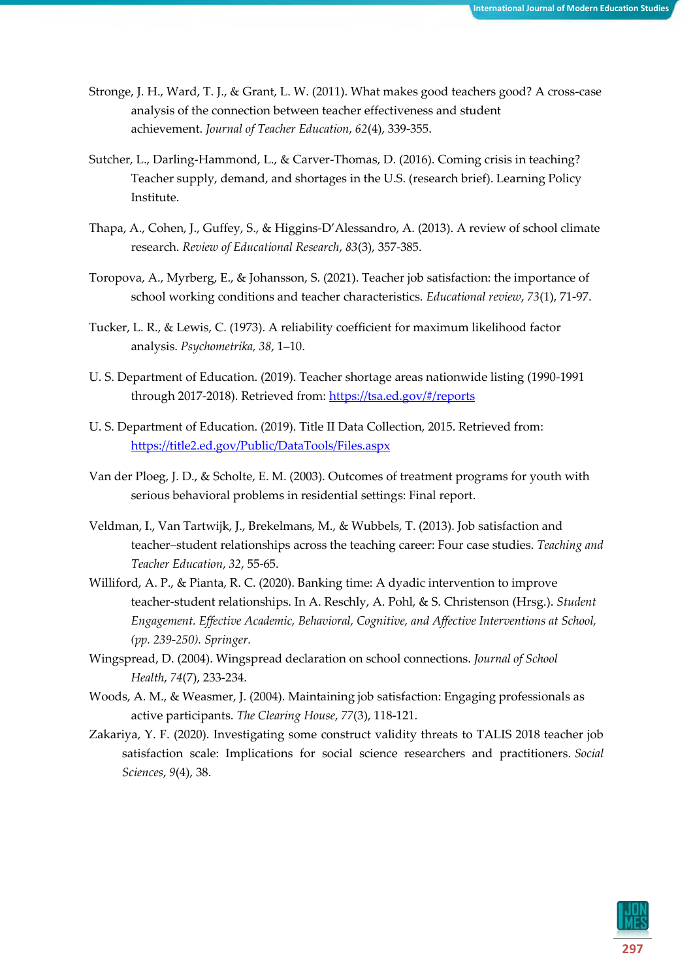- Stronge, J. H., Ward, T. J., & Grant, L. W. (2011). What makes good teachers good? A cross-case analysis of the connection between teacher effectiveness and student achievement. *Journal of Teacher Education*, *62*(4), 339-355.
- Sutcher, L., Darling-Hammond, L., & Carver-Thomas, D. (2016). Coming crisis in teaching? Teacher supply, demand, and shortages in the U.S. (research brief). Learning Policy Institute.
- Thapa, A., Cohen, J., Guffey, S., & Higgins-D'Alessandro, A. (2013). A review of school climate research. *Review of Educational Research*, *83*(3), 357-385.
- Toropova, A., Myrberg, E., & Johansson, S. (2021). Teacher job satisfaction: the importance of school working conditions and teacher characteristics. *Educational review*, *73*(1), 71-97.
- Tucker, L. R., & Lewis, C. (1973). A reliability coefficient for maximum likelihood factor analysis. *Psychometrika, 38*, 1–10.
- U. S. Department of Education. (2019). Teacher shortage areas nationwide listing (1990-1991 through 2017-2018). Retrieved from[: https://tsa.ed.gov/#/reports](https://tsa.ed.gov/#/reports)
- U. S. Department of Education. (2019). Title II Data Collection, 2015. Retrieved from: <https://title2.ed.gov/Public/DataTools/Files.aspx>
- Van der Ploeg, J. D., & Scholte, E. M. (2003). Outcomes of treatment programs for youth with serious behavioral problems in residential settings: Final report.
- Veldman, I., Van Tartwijk, J., Brekelmans, M., & Wubbels, T. (2013). Job satisfaction and teacher–student relationships across the teaching career: Four case studies. *Teaching and Teacher Education*, *32*, 55-65.
- Williford, A. P., & Pianta, R. C. (2020). Banking time: A dyadic intervention to improve teacher-student relationships. In A. Reschly, A. Pohl, & S. Christenson (Hrsg.). *Student Engagement. Effective Academic, Behavioral, Cognitive, and Affective Interventions at School, (pp. 239-250). Springer.*
- Wingspread, D. (2004). Wingspread declaration on school connections. *Journal of School Health*, *74*(7), 233-234.
- Woods, A. M., & Weasmer, J. (2004). Maintaining job satisfaction: Engaging professionals as active participants. *The Clearing House*, *77*(3), 118-121.
- Zakariya, Y. F. (2020). Investigating some construct validity threats to TALIS 2018 teacher job satisfaction scale: Implications for social science researchers and practitioners. *Social Sciences*, *9*(4), 38.